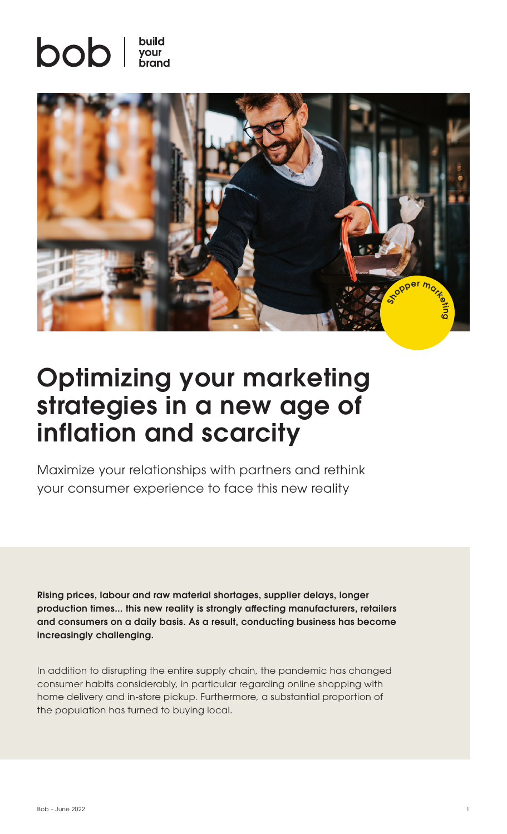# $\mathsf{bob} \mid \frac{\mathsf{build}}{\mathsf{bound}}$



## Optimizing your marketing strategies in a new age of inflation and scarcity

Maximize your relationships with partners and rethink your consumer experience to face this new reality

Rising prices, labour and raw material shortages, supplier delays, longer production times... this new reality is strongly affecting manufacturers, retailers and consumers on a daily basis. As a result, conducting business has become increasingly challenging.

In addition to disrupting the entire supply chain, the pandemic has changed consumer habits considerably, in particular regarding online shopping with home delivery and in-store pickup. Furthermore, a substantial proportion of the population has turned to buying local.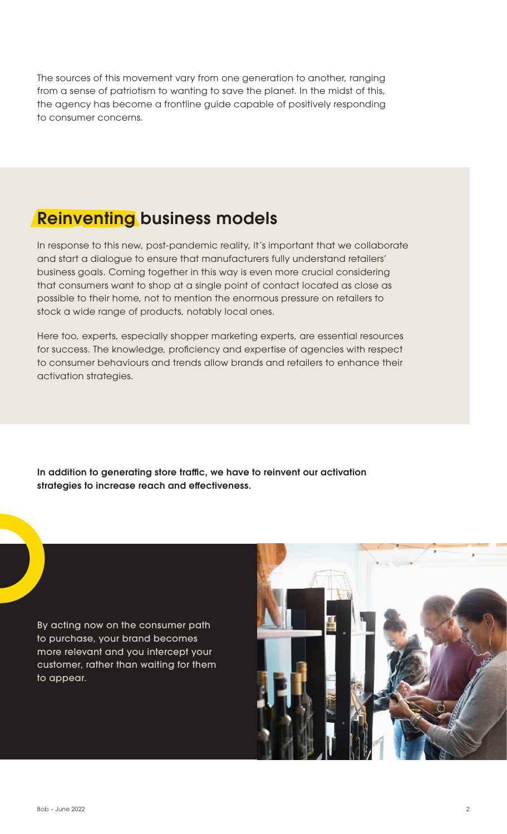The sources of this movement vary from one generation to another, ranging from a sense of patriotism to wanting to save the planet. In the midst of this, the agency has become a frontline guide capable of positively responding to consumer concerns.

#### **Reinventing business models**

In response to this new, post-pandemic reality, it's important that we collaborate and start a dialogue to ensure that manufacturers fully understand retailers' business goals. Coming together in this way is even more crucial considering that consumers want to shop at a single point of contact located as close as possible to their home, not to mention the enormous pressure on retailers to stock a wide range of products, notably local ones.

Here too, experts, especially shopper marketing experts, are essential resources for success. The knowledge, proficiency and expertise of agencies with respect to consumer behaviours and trends allow brands and retailers to enhance their activation strategies.

In addition to generating store traffic, we have to reinvent our activation strategies to increase reach and effectiveness.

By acting now on the consumer path to purchase, your brand becomes more relevant and you intercept your customer, rather than waiting for them to appear.